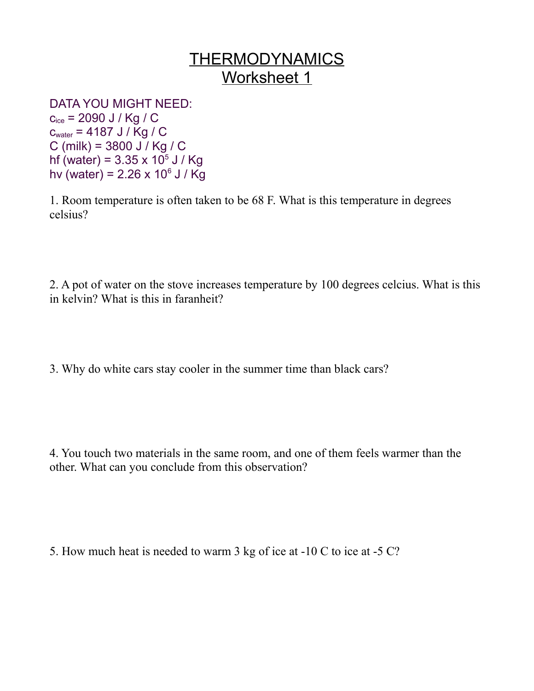## THERMODYNAMICS Worksheet 1

DATA YOU MIGHT NEED:

 $c_{ice}$  = 2090 J / Kg / C cwater = 4187 J / Kg / C C (milk) = 3800 J / Kg / C hf (water) =  $3.35 \times 10^5$  J / Kg hv (water) =  $2.26 \times 10^6$  J / Kg

1. Room temperature is often taken to be 68 F. What is this temperature in degrees celsius?

2. A pot of water on the stove increases temperature by 100 degrees celcius. What is this in kelvin? What is this in faranheit?

3. Why do white cars stay cooler in the summer time than black cars?

4. You touch two materials in the same room, and one of them feels warmer than the other. What can you conclude from this observation?

5. How much heat is needed to warm 3 kg of ice at -10 C to ice at -5 C?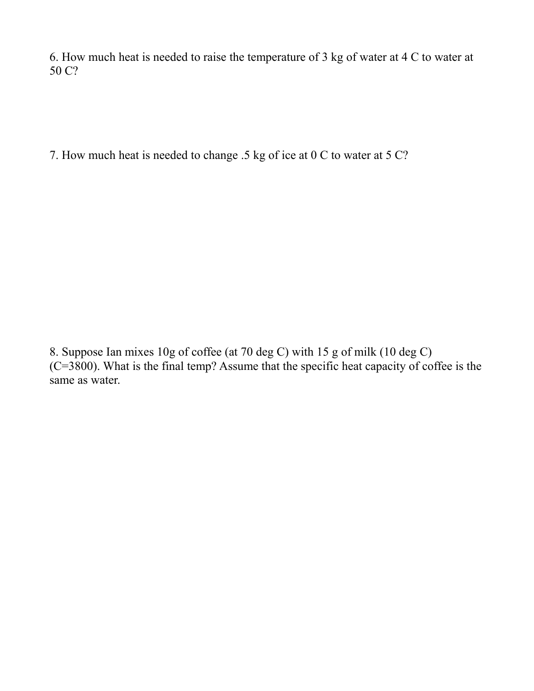6. How much heat is needed to raise the temperature of 3 kg of water at 4 C to water at 50 C?

7. How much heat is needed to change .5 kg of ice at 0 C to water at 5 C?

8. Suppose Ian mixes 10g of coffee (at 70 deg C) with 15 g of milk (10 deg C) (C=3800). What is the final temp? Assume that the specific heat capacity of coffee is the same as water.